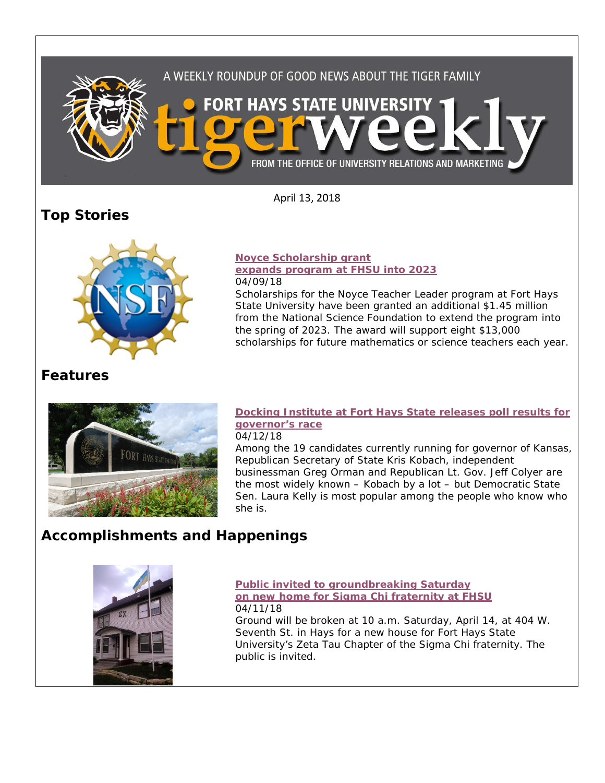

April 13, 2018

# **Top Stories**



## **[Noyce Scholarship grant](https://www.fhsu.edu/news/2018/04/noyce-scholarship-grant-expands-program-at-fhsu-into-2023.html)**

#### **[expands program at FHSU into 2023](https://www.fhsu.edu/news/2018/04/noyce-scholarship-grant-expands-program-at-fhsu-into-2023.html)** 04/09/18

Scholarships for the Noyce Teacher Leader program at Fort Hays State University have been granted an additional \$1.45 million from the National Science Foundation to extend the program into the spring of 2023. The award will support eight \$13,000 scholarships for future mathematics or science teachers each year.

## **Features**



## **[Docking Institute at Fort Hays State releases poll results for](https://www.fhsu.edu/news/2018/04/docking-institute-at-fort-hays-state-releases-poll-results-for-governors-race.html)  [governor's race](https://www.fhsu.edu/news/2018/04/docking-institute-at-fort-hays-state-releases-poll-results-for-governors-race.html)**

#### 04/12/18

Among the 19 candidates currently running for governor of Kansas, Republican Secretary of State Kris Kobach, independent businessman Greg Orman and Republican Lt. Gov. Jeff Colyer are the most widely known – Kobach by a lot – but Democratic State Sen. Laura Kelly is most popular among the people who know who she is.

# **Accomplishments and Happenings**



#### **[Public invited to groundbreaking Saturday](https://www.fhsu.edu/news/2018/04/public-invited-to-groundbreaking-saturday-on-new-home-for-sigma-chi-fraternity-at-fhsu.html)  [on new home for Sigma Chi fraternity at FHSU](https://www.fhsu.edu/news/2018/04/public-invited-to-groundbreaking-saturday-on-new-home-for-sigma-chi-fraternity-at-fhsu.html)** 04/11/18

Ground will be broken at 10 a.m. Saturday, April 14, at 404 W. Seventh St. in Hays for a new house for Fort Hays State University's Zeta Tau Chapter of the Sigma Chi fraternity. The public is invited.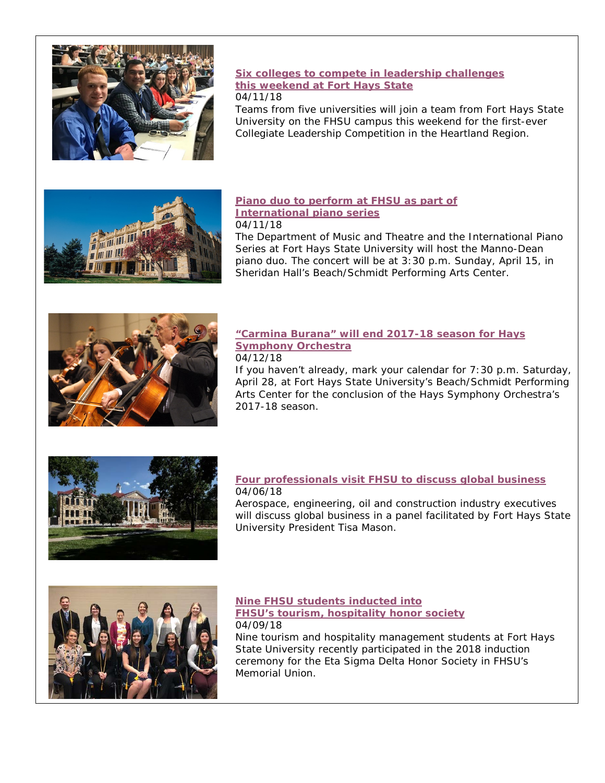

### **[Six colleges to compete in leadership challenges](https://www.fhsu.edu/news/2018/04/six-colleges-to-compete-in-leadership-challenges-this-weekend-at-fort-hays-state.html)  [this weekend at Fort Hays](https://www.fhsu.edu/news/2018/04/six-colleges-to-compete-in-leadership-challenges-this-weekend-at-fort-hays-state.html) State**

#### 04/11/18

Teams from five universities will join a team from Fort Hays State University on the FHSU campus this weekend for the first-ever Collegiate Leadership Competition in the Heartland Region.



#### **[Piano duo to perform at FHSU as part of](https://www.fhsu.edu/news/2018/04/piano-duo-to-perform-at-fhsu-as-part-of-international-piano-series.html)  [International piano series](https://www.fhsu.edu/news/2018/04/piano-duo-to-perform-at-fhsu-as-part-of-international-piano-series.html)** 04/11/18

The Department of Music and Theatre and the International Piano Series at Fort Hays State University will host the Manno-Dean piano duo. The concert will be at 3:30 p.m. Sunday, April 15, in Sheridan Hall's Beach/Schmidt Performing Arts Center.



## **["Carmina Burana" will end 2017-18 season for Hays](https://www.fhsu.edu/news/2018/04/carmina-burana-will-end-2017-18-season-for-hays-symphony-orchestra.html)  [Symphony Orchestra](https://www.fhsu.edu/news/2018/04/carmina-burana-will-end-2017-18-season-for-hays-symphony-orchestra.html)**

#### 04/12/18

If you haven't already, mark your calendar for 7:30 p.m. Saturday, April 28, at Fort Hays State University's Beach/Schmidt Performing Arts Center for the conclusion of the Hays Symphony Orchestra's 2017-18 season.



#### **[Four professionals visit FHSU to discuss global business](https://www.fhsu.edu/news/2018/04/four-professionals-visit-fhsu-to-discuss-global-business.html)** 04/06/18

Aerospace, engineering, oil and construction industry executives will discuss global business in a panel facilitated by Fort Hays State University President Tisa Mason.



## **[Nine FHSU students inducted into](https://www.fhsu.edu/news/2018/04/nine-fhsu-students-inducted-into-fhsus-tourism,-hospitality-honor-society.html)  [FHSU's tourism, hospitality honor society](https://www.fhsu.edu/news/2018/04/nine-fhsu-students-inducted-into-fhsus-tourism,-hospitality-honor-society.html)** 04/09/18

Nine tourism and hospitality management students at Fort Hays State University recently participated in the 2018 induction ceremony for the Eta Sigma Delta Honor Society in FHSU's Memorial Union.